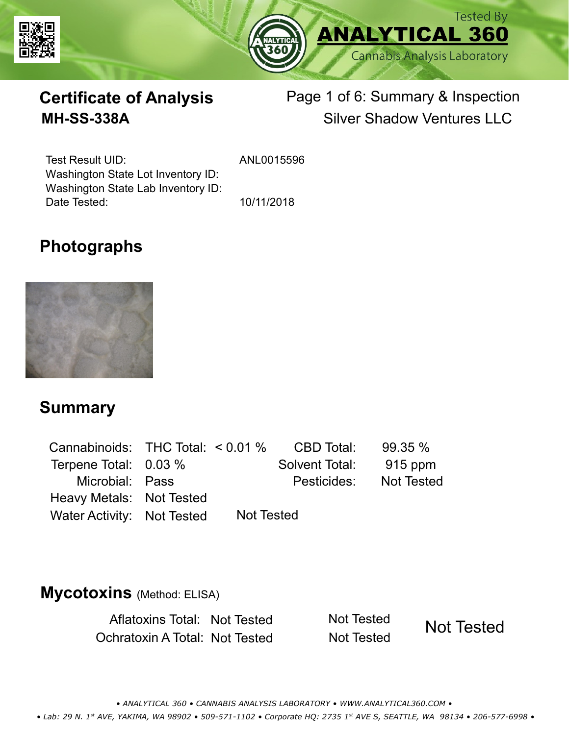



# **Certificate of Analysis** Page 1 of 6: Summary & Inspection **MH-SS-338A** Silver Shadow Ventures LLC

Test Result UID: Washington State Lot Inventory ID: Date Tested: 10/11/2018 Washington State Lab Inventory ID:

ANL0015596

### **Photographs**



#### **Summary**

| Cannabinoids: THC Total: $< 0.01$ % |                   | CBD Total:     | 99.35%     |
|-------------------------------------|-------------------|----------------|------------|
| Terpene Total: 0.03 %               |                   | Solvent Total: | 915 ppm    |
| Microbial: Pass                     |                   | Pesticides:    | Not Tested |
| Heavy Metals: Not Tested            |                   |                |            |
| Water Activity: Not Tested          | <b>Not Tested</b> |                |            |

#### **Mycotoxins** (Method: ELISA)

Aflatoxins Total: Not Tested Not Tested Ochratoxin A Total: Not Tested Not Tested

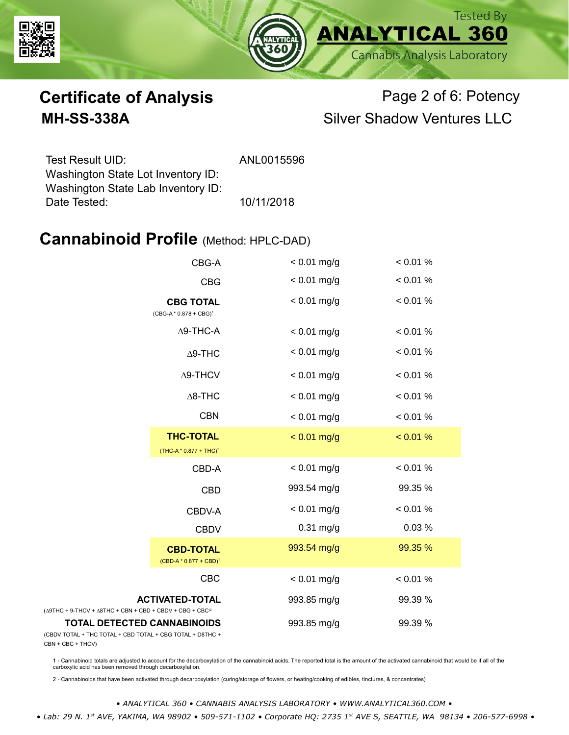



# **Certificate of Analysis** Page 2 of 6: Potency **MH-SS-338A** Silver Shadow Ventures LLC

| ANL0015596 |
|------------|
|            |
|            |
| 10/11/2018 |
|            |

#### **Cannabinoid Profile** (Method: HPLC-DAD)

| CBG-A                                                                                           |                                               | $< 0.01$ mg/g | < 0.01 % |
|-------------------------------------------------------------------------------------------------|-----------------------------------------------|---------------|----------|
|                                                                                                 | <b>CBG</b>                                    | $< 0.01$ mg/g | < 0.01 % |
| <b>CBG TOTAL</b><br>$(CBG-A * 0.878 + CBG)^1$<br>$\Delta$ 9-THC-A<br>$\Delta$ 9-THC             |                                               | $< 0.01$ mg/g | < 0.01 % |
|                                                                                                 |                                               | $< 0.01$ mg/g | < 0.01 % |
|                                                                                                 |                                               | $< 0.01$ mg/g | < 0.01 % |
|                                                                                                 | $\Delta$ 9-THCV                               | $< 0.01$ mg/g | < 0.01 % |
|                                                                                                 | $\Delta$ 8-THC                                | $< 0.01$ mg/g | < 0.01 % |
|                                                                                                 | <b>CBN</b>                                    | $< 0.01$ mg/g | < 0.01 % |
|                                                                                                 | <b>THC-TOTAL</b><br>$(THC-A * 0.877 + THC)^1$ | $< 0.01$ mg/g | < 0.01 % |
|                                                                                                 | CBD-A                                         | $< 0.01$ mg/g | < 0.01 % |
|                                                                                                 | <b>CBD</b>                                    | 993.54 mg/g   | 99.35 %  |
|                                                                                                 | CBDV-A                                        | $< 0.01$ mg/g | < 0.01 % |
|                                                                                                 | <b>CBDV</b>                                   | $0.31$ mg/g   | 0.03 %   |
|                                                                                                 | <b>CBD-TOTAL</b><br>$(CBD-A * 0.877 + CBD)^1$ | 993.54 mg/g   | 99.35 %  |
|                                                                                                 | CBC                                           | $< 0.01$ mg/g | < 0.01 % |
| $(\Delta$ 9THC + 9-THCV + $\Delta$ 8THC + CBN + CBD + CBDV + CBG + CBC <sup>2</sup>             | <b>ACTIVATED-TOTAL</b>                        | 993.85 mg/g   | 99.39 %  |
| <b>TOTAL DETECTED CANNABINOIDS</b><br>(CBDV TOTAL + THC TOTAL + CBD TOTAL + CBG TOTAL + D8THC + |                                               | 993.85 mg/g   | 99.39 %  |

(CBDV TOTAL + THC TOTAL + CBN + CBC + THCV)

1 - Cannabinoid totals are adjusted to account for the decarboxylation of the cannabinoid acids. The reported total is the amount of the activated cannabinoid that would be if all of the<br>carboxylic acid has been removed th

2 - Cannabinoids that have been activated through decarboxylation (curing/storage of flowers, or heating/cooking of edibles, tinctures, & concentrates)

*• ANALYTICAL 360 • CANNABIS ANALYSIS LABORATORY • WWW.ANALYTICAL360.COM • • Lab: 29 N. 1st AVE, YAKIMA, WA 98902 • 509-571-1102 • Corporate HQ: 2735 1st AVE S, SEATTLE, WA 98134 • 206-577-6998 •*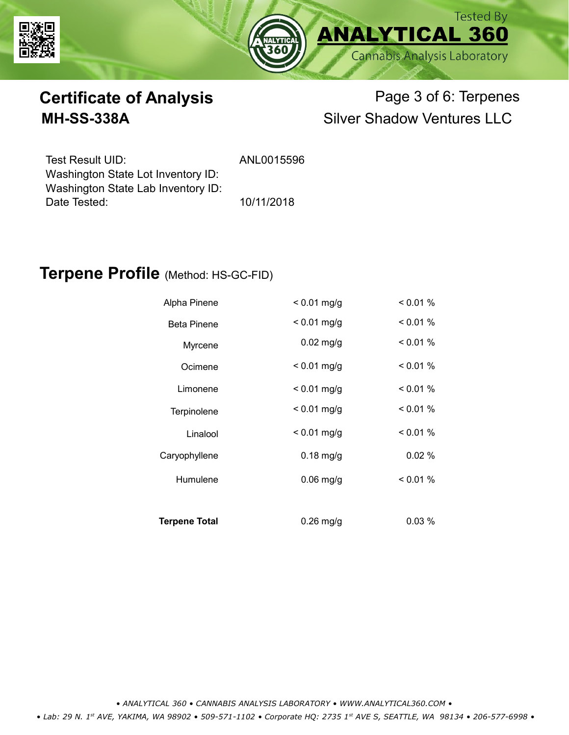



# **Certificate of Analysis** Page 3 of 6: Terpenes **MH-SS-338A** Silver Shadow Ventures LLC

| Test Result UID:                   | ANL0015596 |
|------------------------------------|------------|
| Washington State Lot Inventory ID: |            |
| Washington State Lab Inventory ID: |            |
| Date Tested:                       | 10/11/2018 |

#### **Terpene Profile** (Method: HS-GC-FID)

| Alpha Pinene         | $< 0.01$ mg/g | < 0.01 % |
|----------------------|---------------|----------|
| <b>Beta Pinene</b>   | $< 0.01$ mg/g | $0.01\%$ |
| Myrcene              | $0.02$ mg/g   | < 0.01 % |
| Ocimene              | $< 0.01$ mg/g | < 0.01 % |
| Limonene             | $< 0.01$ mg/g | < 0.01 % |
| Terpinolene          | $< 0.01$ mg/g | $0.01\%$ |
| Linalool             | $< 0.01$ mg/g | < 0.01 % |
| Caryophyllene        | $0.18$ mg/g   | 0.02%    |
| Humulene             | $0.06$ mg/g   | $0.01\%$ |
|                      |               |          |
| <b>Terpene Total</b> | $0.26$ mg/g   | $0.03\%$ |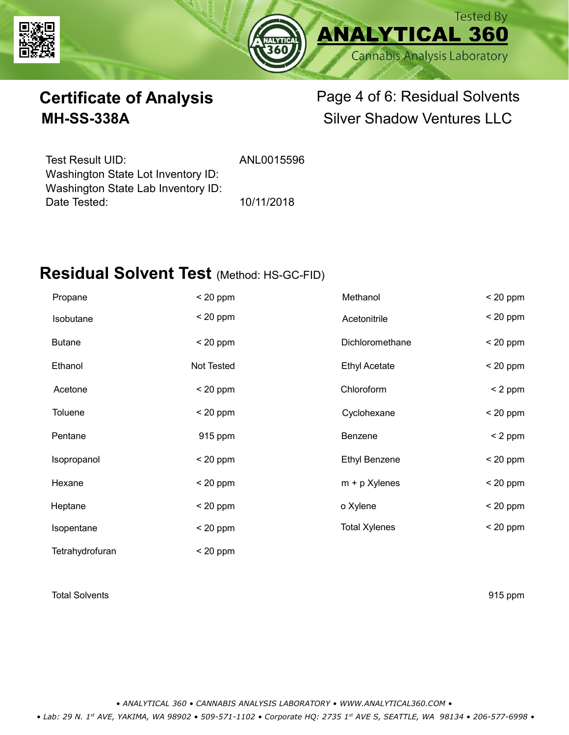



# **Certificate of Analysis** Page 4 of 6: Residual Solvents **MH-SS-338A** Silver Shadow Ventures LLC

Test Result UID: ANL0015596 Date Tested: 10/11/2018 Washington State Lot Inventory ID: Washington State Lab Inventory ID:

### **Residual Solvent Test** (Method: HS-GC-FID)

| Propane         | $< 20$ ppm | Methanol             | $< 20$ ppm |
|-----------------|------------|----------------------|------------|
| Isobutane       | $< 20$ ppm | Acetonitrile         | $< 20$ ppm |
| <b>Butane</b>   | $< 20$ ppm | Dichloromethane      | $< 20$ ppm |
| Ethanol         | Not Tested | <b>Ethyl Acetate</b> | $< 20$ ppm |
| Acetone         | $< 20$ ppm | Chloroform           | $< 2$ ppm  |
| <b>Toluene</b>  | $< 20$ ppm | Cyclohexane          | $< 20$ ppm |
| Pentane         | 915 ppm    | Benzene              | $< 2$ ppm  |
| Isopropanol     | $<$ 20 ppm | <b>Ethyl Benzene</b> | $< 20$ ppm |
| Hexane          | $<$ 20 ppm | $m + p$ Xylenes      | $< 20$ ppm |
| Heptane         | $<$ 20 ppm | o Xylene             | $< 20$ ppm |
| Isopentane      | $< 20$ ppm | <b>Total Xylenes</b> | $< 20$ ppm |
| Tetrahydrofuran | $< 20$ ppm |                      |            |

#### Total Solvents 915 ppm

*• ANALYTICAL 360 • CANNABIS ANALYSIS LABORATORY • WWW.ANALYTICAL360.COM •*

 *• Lab: 29 N. 1st AVE, YAKIMA, WA 98902 • 509-571-1102 • Corporate HQ: 2735 1st AVE S, SEATTLE, WA 98134 • 206-577-6998 •*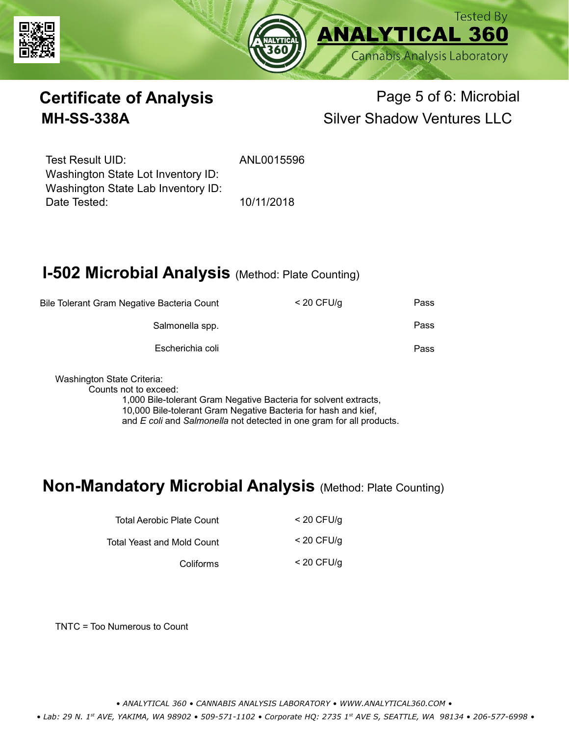



# **Certificate of Analysis Page 5 of 6: Microbial MH-SS-338A** Silver Shadow Ventures LLC

Test Result UID: ANL0015596 Date Tested: 10/11/2018 Washington State Lot Inventory ID: Washington State Lab Inventory ID:

### **I-502 Microbial Analysis (Method: Plate Counting)**

| Bile Tolerant Gram Negative Bacteria Count | $<$ 20 CFU/g | Pass |
|--------------------------------------------|--------------|------|
| Salmonella spp.                            |              | Pass |
| Escherichia coli                           |              | Pass |
|                                            |              |      |

Washington State Criteria:

Counts not to exceed:

1,000 Bile-tolerant Gram Negative Bacteria for solvent extracts, 10,000 Bile-tolerant Gram Negative Bacteria for hash and kief, and *E coli* and *Salmonella* not detected in one gram for all products.

### **Non-Mandatory Microbial Analysis** (Method: Plate Counting)

| Total Aerobic Plate Count  | $<$ 20 CFU/g |
|----------------------------|--------------|
| Total Yeast and Mold Count | $<$ 20 CFU/g |
| Coliforms                  | $<$ 20 CFU/g |

TNTC = Too Numerous to Count

*• ANALYTICAL 360 • CANNABIS ANALYSIS LABORATORY • WWW.ANALYTICAL360.COM •*

 *• Lab: 29 N. 1st AVE, YAKIMA, WA 98902 • 509-571-1102 • Corporate HQ: 2735 1st AVE S, SEATTLE, WA 98134 • 206-577-6998 •*